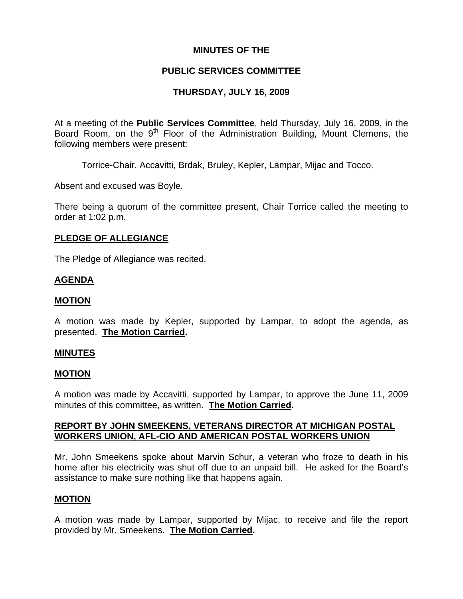### **MINUTES OF THE**

### **PUBLIC SERVICES COMMITTEE**

## **THURSDAY, JULY 16, 2009**

At a meeting of the **Public Services Committee**, held Thursday, July 16, 2009, in the Board Room, on the  $9<sup>th</sup>$  Floor of the Administration Building, Mount Clemens, the following members were present:

Torrice-Chair, Accavitti, Brdak, Bruley, Kepler, Lampar, Mijac and Tocco.

Absent and excused was Boyle.

There being a quorum of the committee present, Chair Torrice called the meeting to order at 1:02 p.m.

#### **PLEDGE OF ALLEGIANCE**

The Pledge of Allegiance was recited.

#### **AGENDA**

#### **MOTION**

A motion was made by Kepler, supported by Lampar, to adopt the agenda, as presented. **The Motion Carried.** 

#### **MINUTES**

#### **MOTION**

A motion was made by Accavitti, supported by Lampar, to approve the June 11, 2009 minutes of this committee, as written. **The Motion Carried.** 

### **REPORT BY JOHN SMEEKENS, VETERANS DIRECTOR AT MICHIGAN POSTAL WORKERS UNION, AFL-CIO AND AMERICAN POSTAL WORKERS UNION**

Mr. John Smeekens spoke about Marvin Schur, a veteran who froze to death in his home after his electricity was shut off due to an unpaid bill. He asked for the Board's assistance to make sure nothing like that happens again.

### **MOTION**

A motion was made by Lampar, supported by Mijac, to receive and file the report provided by Mr. Smeekens. **The Motion Carried.**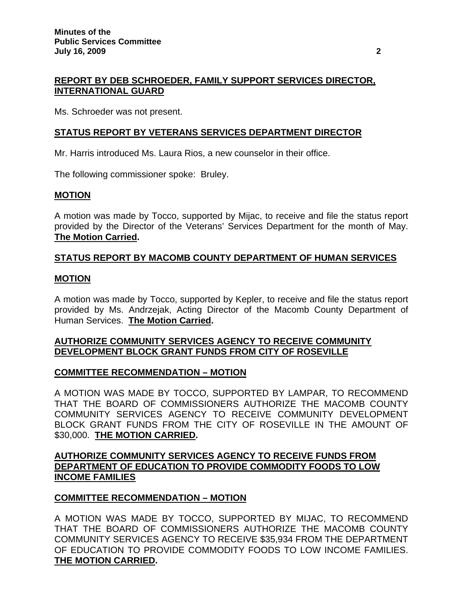# **REPORT BY DEB SCHROEDER, FAMILY SUPPORT SERVICES DIRECTOR, INTERNATIONAL GUARD**

Ms. Schroeder was not present.

## **STATUS REPORT BY VETERANS SERVICES DEPARTMENT DIRECTOR**

Mr. Harris introduced Ms. Laura Rios, a new counselor in their office.

The following commissioner spoke: Bruley.

### **MOTION**

A motion was made by Tocco, supported by Mijac, to receive and file the status report provided by the Director of the Veterans' Services Department for the month of May. **The Motion Carried.** 

# **STATUS REPORT BY MACOMB COUNTY DEPARTMENT OF HUMAN SERVICES**

### **MOTION**

A motion was made by Tocco, supported by Kepler, to receive and file the status report provided by Ms. Andrzejak, Acting Director of the Macomb County Department of Human Services. **The Motion Carried.** 

## **AUTHORIZE COMMUNITY SERVICES AGENCY TO RECEIVE COMMUNITY DEVELOPMENT BLOCK GRANT FUNDS FROM CITY OF ROSEVILLE**

## **COMMITTEE RECOMMENDATION – MOTION**

A MOTION WAS MADE BY TOCCO, SUPPORTED BY LAMPAR, TO RECOMMEND THAT THE BOARD OF COMMISSIONERS AUTHORIZE THE MACOMB COUNTY COMMUNITY SERVICES AGENCY TO RECEIVE COMMUNITY DEVELOPMENT BLOCK GRANT FUNDS FROM THE CITY OF ROSEVILLE IN THE AMOUNT OF \$30,000. **THE MOTION CARRIED.** 

## **AUTHORIZE COMMUNITY SERVICES AGENCY TO RECEIVE FUNDS FROM DEPARTMENT OF EDUCATION TO PROVIDE COMMODITY FOODS TO LOW INCOME FAMILIES**

## **COMMITTEE RECOMMENDATION – MOTION**

A MOTION WAS MADE BY TOCCO, SUPPORTED BY MIJAC, TO RECOMMEND THAT THE BOARD OF COMMISSIONERS AUTHORIZE THE MACOMB COUNTY COMMUNITY SERVICES AGENCY TO RECEIVE \$35,934 FROM THE DEPARTMENT OF EDUCATION TO PROVIDE COMMODITY FOODS TO LOW INCOME FAMILIES. **THE MOTION CARRIED.**